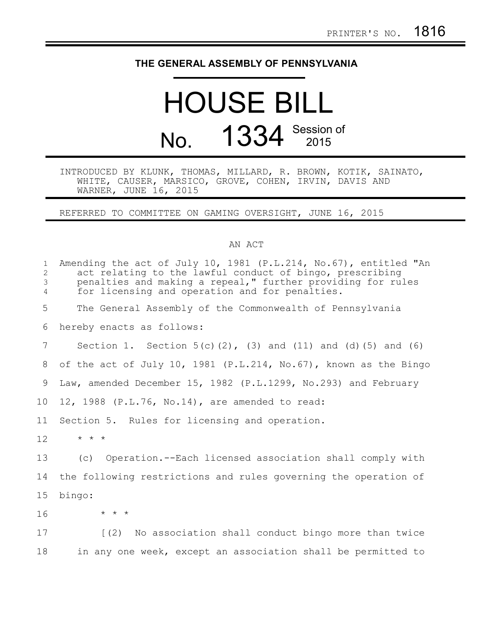## **THE GENERAL ASSEMBLY OF PENNSYLVANIA**

## HOUSE BILL No. 1334 Session of

## INTRODUCED BY KLUNK, THOMAS, MILLARD, R. BROWN, KOTIK, SAINATO, WHITE, CAUSER, MARSICO, GROVE, COHEN, IRVIN, DAVIS AND WARNER, JUNE 16, 2015

REFERRED TO COMMITTEE ON GAMING OVERSIGHT, JUNE 16, 2015

## AN ACT

| 1<br>$\overline{2}$<br>3<br>4 | Amending the act of July 10, 1981 $(P.L.214, No.67)$ , entitled "An<br>act relating to the lawful conduct of bingo, prescribing<br>penalties and making a repeal," further providing for rules<br>for licensing and operation and for penalties. |
|-------------------------------|--------------------------------------------------------------------------------------------------------------------------------------------------------------------------------------------------------------------------------------------------|
| 5                             | The General Assembly of the Commonwealth of Pennsylvania                                                                                                                                                                                         |
| 6                             | hereby enacts as follows:                                                                                                                                                                                                                        |
| 7                             | Section 1. Section $5(c)(2)$ , (3) and (11) and (d) (5) and (6)                                                                                                                                                                                  |
| 8                             | of the act of July 10, 1981 (P.L.214, No.67), known as the Bingo                                                                                                                                                                                 |
| 9                             | Law, amended December 15, 1982 (P.L.1299, No.293) and February                                                                                                                                                                                   |
| 10 <sub>o</sub>               | 12, 1988 (P.L.76, No.14), are amended to read:                                                                                                                                                                                                   |
| 11                            | Section 5. Rules for licensing and operation.                                                                                                                                                                                                    |
| 12                            | $\star$ $\star$ $\star$                                                                                                                                                                                                                          |
| 13                            | Operation.--Each licensed association shall comply with<br>(C)                                                                                                                                                                                   |
| 14                            | the following restrictions and rules governing the operation of                                                                                                                                                                                  |
| 15                            | bingo:                                                                                                                                                                                                                                           |
| 16                            | $\star$ $\star$ $\star$                                                                                                                                                                                                                          |
| 17                            | [(2) No association shall conduct bingo more than twice                                                                                                                                                                                          |
| 18                            | in any one week, except an association shall be permitted to                                                                                                                                                                                     |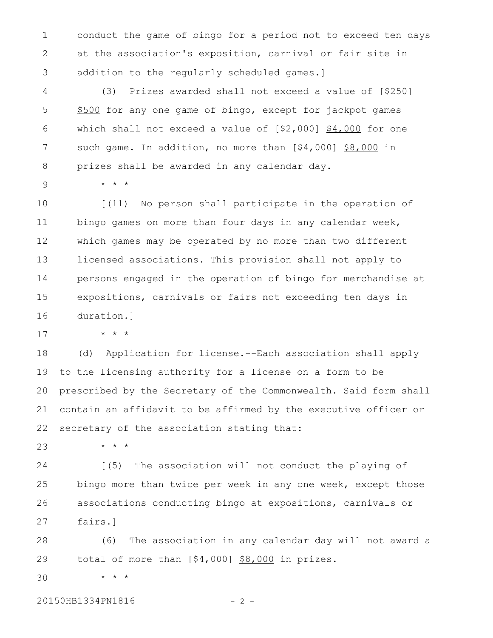conduct the game of bingo for a period not to exceed ten days at the association's exposition, carnival or fair site in addition to the regularly scheduled games.] 1 2 3

(3) Prizes awarded shall not exceed a value of [\$250] \$500 for any one game of bingo, except for jackpot games which shall not exceed a value of [\$2,000] \$4,000 for one such game. In addition, no more than [\$4,000] \$8,000 in prizes shall be awarded in any calendar day. 4 5 6 7 8

9

\* \* \*

\* \* \*

[(11) No person shall participate in the operation of bingo games on more than four days in any calendar week, which games may be operated by no more than two different licensed associations. This provision shall not apply to persons engaged in the operation of bingo for merchandise at expositions, carnivals or fairs not exceeding ten days in duration.] 10 11 12 13 14 15 16

17

(d) Application for license.--Each association shall apply to the licensing authority for a license on a form to be prescribed by the Secretary of the Commonwealth. Said form shall contain an affidavit to be affirmed by the executive officer or secretary of the association stating that: 18 19 20 21 22

\* \* \* 23

[(5) The association will not conduct the playing of bingo more than twice per week in any one week, except those associations conducting bingo at expositions, carnivals or fairs.] 24 25 26 27

(6) The association in any calendar day will not award a total of more than [\$4,000] \$8,000 in prizes. 28 29

\* \* \* 30

20150HB1334PN1816 - 2 -